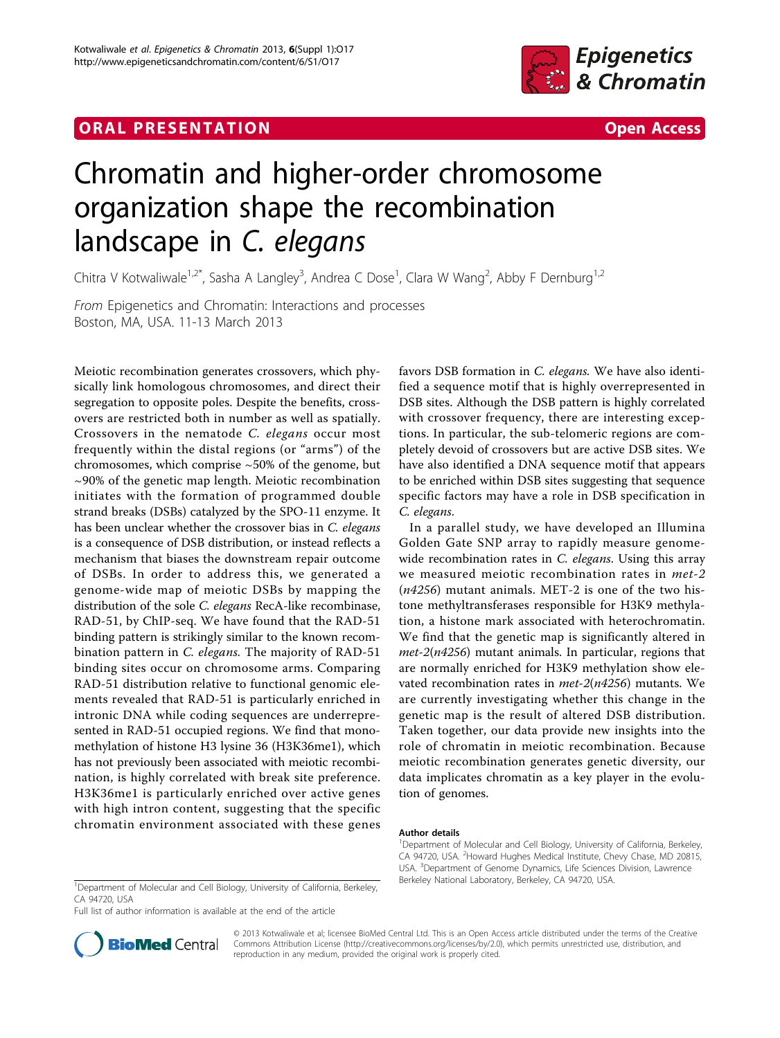## **ORAL PRESENTATION CONSUMING ACCESS**



## Chromatin and higher-order chromosome organization shape the recombination landscape in C. elegans

Chitra V Kotwaliwale<sup>1,2\*</sup>, Sasha A Langley<sup>3</sup>, Andrea C Dose<sup>1</sup>, Clara W Wang<sup>2</sup>, Abby F Dernburg<sup>1,2</sup>

From Epigenetics and Chromatin: Interactions and processes Boston, MA, USA. 11-13 March 2013

Meiotic recombination generates crossovers, which physically link homologous chromosomes, and direct their segregation to opposite poles. Despite the benefits, crossovers are restricted both in number as well as spatially. Crossovers in the nematode C. elegans occur most frequently within the distal regions (or "arms") of the chromosomes, which comprise  $\sim$  50% of the genome, but  $\sim$ 90% of the genetic map length. Meiotic recombination initiates with the formation of programmed double strand breaks (DSBs) catalyzed by the SPO-11 enzyme. It has been unclear whether the crossover bias in C. elegans is a consequence of DSB distribution, or instead reflects a mechanism that biases the downstream repair outcome of DSBs. In order to address this, we generated a genome-wide map of meiotic DSBs by mapping the distribution of the sole *C. elegans* RecA-like recombinase, RAD-51, by ChIP-seq. We have found that the RAD-51 binding pattern is strikingly similar to the known recombination pattern in *C. elegans*. The majority of RAD-51 binding sites occur on chromosome arms. Comparing RAD-51 distribution relative to functional genomic elements revealed that RAD-51 is particularly enriched in intronic DNA while coding sequences are underrepresented in RAD-51 occupied regions. We find that monomethylation of histone H3 lysine 36 (H3K36me1), which has not previously been associated with meiotic recombination, is highly correlated with break site preference. H3K36me1 is particularly enriched over active genes with high intron content, suggesting that the specific chromatin environment associated with these genes favors DSB formation in C. elegans. We have also identified a sequence motif that is highly overrepresented in DSB sites. Although the DSB pattern is highly correlated with crossover frequency, there are interesting exceptions. In particular, the sub-telomeric regions are completely devoid of crossovers but are active DSB sites. We have also identified a DNA sequence motif that appears to be enriched within DSB sites suggesting that sequence specific factors may have a role in DSB specification in C. elegans.

In a parallel study, we have developed an Illumina Golden Gate SNP array to rapidly measure genomewide recombination rates in C. elegans. Using this array we measured meiotic recombination rates in met-2  $(n4256)$  mutant animals. MET-2 is one of the two histone methyltransferases responsible for H3K9 methylation, a histone mark associated with heterochromatin. We find that the genetic map is significantly altered in  $met-2(n4256)$  mutant animals. In particular, regions that are normally enriched for H3K9 methylation show elevated recombination rates in  $met-2(n4256)$  mutants. We are currently investigating whether this change in the genetic map is the result of altered DSB distribution. Taken together, our data provide new insights into the role of chromatin in meiotic recombination. Because meiotic recombination generates genetic diversity, our data implicates chromatin as a key player in the evolution of genomes.

## Author details

Full list of author information is available at the end of the article



© 2013 Kotwaliwale et al; licensee BioMed Central Ltd. This is an Open Access article distributed under the terms of the Creative Commons Attribution License [\(http://creativecommons.org/licenses/by/2.0](http://creativecommons.org/licenses/by/2.0)), which permits unrestricted use, distribution, and reproduction in any medium, provided the original work is properly cited.

<sup>&</sup>lt;sup>1</sup>Department of Molecular and Cell Biology, University of California, Berkeley, CA 94720, USA. <sup>2</sup>Howard Hughes Medical Institute, Chevy Chase, MD 20815, USA. <sup>3</sup>Department of Genome Dynamics, Life Sciences Division, Lawrence

<sup>&</sup>lt;sup>1</sup> Department of Molecular and Cell Biology, University of California, Berkeley, Berkeley National Laboratory, Berkeley, CA 94720, USA. CA 94720, USA